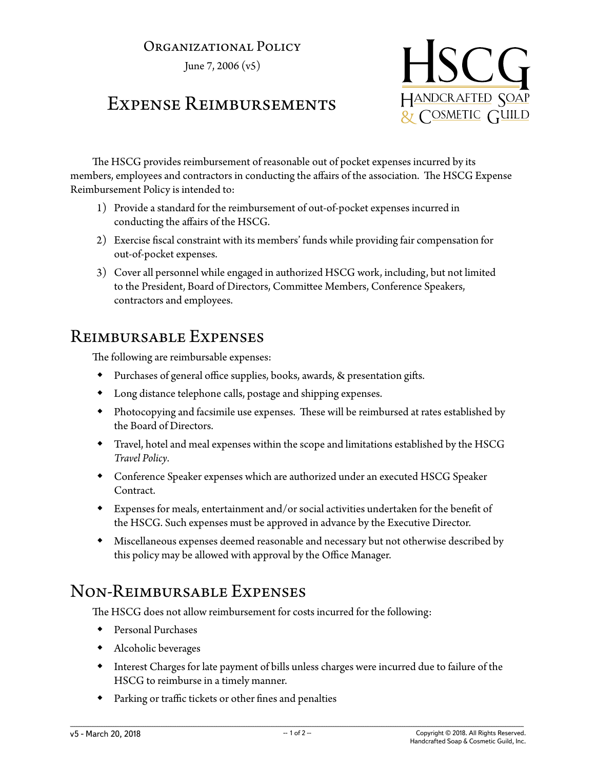#### Organizational Policy

June 7, 2006 (v5)

# Expense Reimbursements



The HSCG provides reimbursement of reasonable out of pocket expenses incurred by its members, employees and contractors in conducting the affairs of the association. The HSCG Expense Reimbursement Policy is intended to:

- 1) Provide a standard for the reimbursement of out-of-pocket expenses incurred in conducting the affairs of the HSCG.
- 2) Exercise fiscal constraint with its members' funds while providing fair compensation for out-of-pocket expenses.
- 3) Cover all personnel while engaged in authorized HSCG work, including, but not limited to the President, Board of Directors, Committee Members, Conference Speakers, contractors and employees.

### Reimbursable Expenses

The following are reimbursable expenses:

- Purchases of general office supplies, books, awards, & presentation gifts.
- Long distance telephone calls, postage and shipping expenses.
- Photocopying and facsimile use expenses. These will be reimbursed at rates established by the Board of Directors.
- Travel, hotel and meal expenses within the scope and limitations established by the HSCG *Travel Policy*.
- Conference Speaker expenses which are authorized under an executed HSCG Speaker Contract.
- Expenses for meals, entertainment and/or social activities undertaken for the benefit of the HSCG. Such expenses must be approved in advance by the Executive Director.
- Miscellaneous expenses deemed reasonable and necessary but not otherwise described by this policy may be allowed with approval by the Office Manager.

# Non-Reimbursable Expenses

The HSCG does not allow reimbursement for costs incurred for the following:

- Personal Purchases
- Alcoholic beverages
- Interest Charges for late payment of bills unless charges were incurred due to failure of the HSCG to reimburse in a timely manner.
- Parking or traffic tickets or other fines and penalties